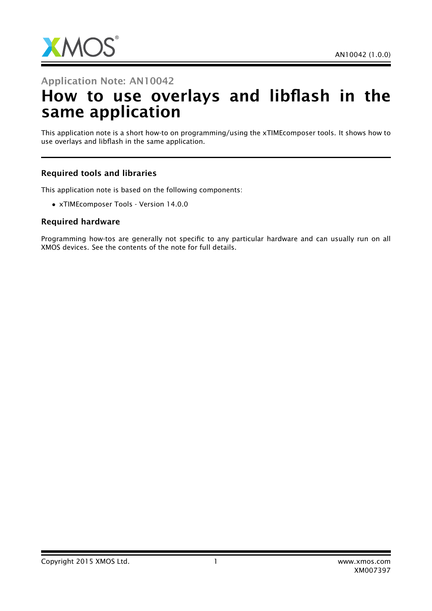

## Application Note: AN10042

# How to use overlays and libflash in the same application

This application note is a short how-to on programming/using the xTIMEcomposer tools. It shows how to use overlays and libflash in the same application.

#### Required tools and libraries

This application note is based on the following components:

• xTIMEcomposer Tools - Version 14.0.0

#### Required hardware

Programming how-tos are generally not specific to any particular hardware and can usually run on all XMOS devices. See the contents of the note for full details.